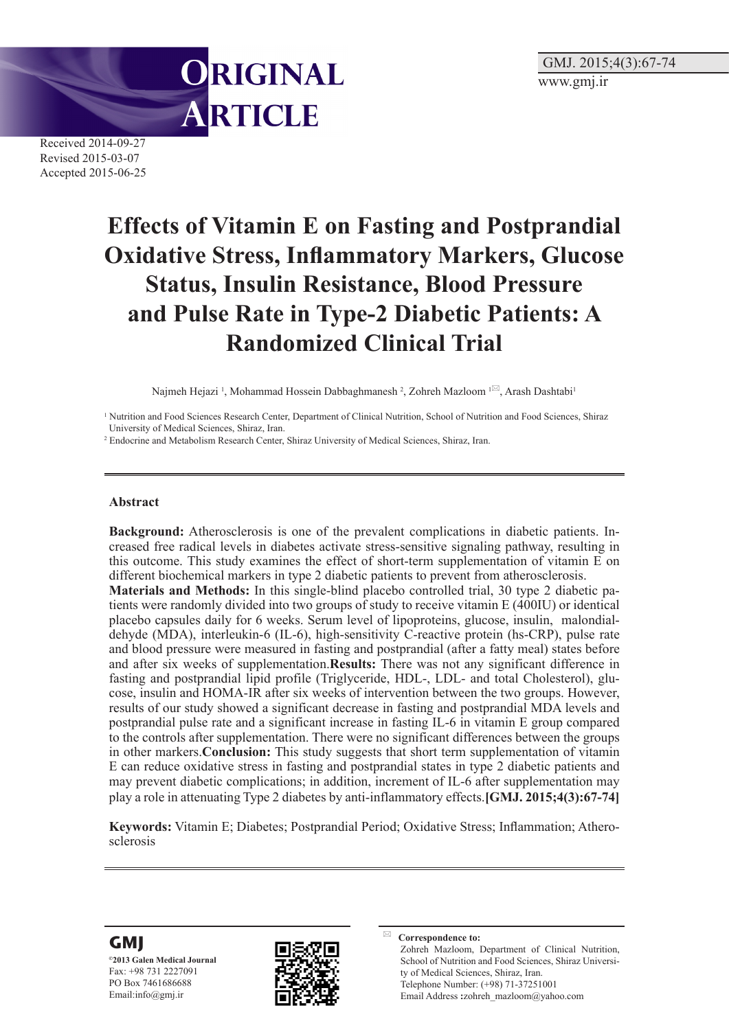

Received 2014-09-27 Revised 2015-03-07 Accepted 2015-06-25

# **Effects of Vitamin E on Fasting and Postprandial Oxidative Stress, Inflammatory Markers, Glucose Status, Insulin Resistance, Blood Pressure and Pulse Rate in Type-2 Diabetic Patients: A Randomized Clinical Trial**

Najmeh Hejazi <sup>1</sup>, Mohammad Hossein Dabbaghmanesh <sup>2</sup>, Zohreh Mazloom <sup>1⊠</sup>, Arash Dashtabi<sup>1</sup>

<sup>1</sup> Nutrition and Food Sciences Research Center, Department of Clinical Nutrition, School of Nutrition and Food Sciences, Shiraz University of Medical Sciences, Shiraz, Iran.

2 Endocrine and Metabolism Research Center, Shiraz University of Medical Sciences, Shiraz, Iran.

#### **Abstract**

**Background:** Atherosclerosis is one of the prevalent complications in diabetic patients. Increased free radical levels in diabetes activate stress-sensitive signaling pathway, resulting in this outcome. This study examines the effect of short-term supplementation of vitamin E on different biochemical markers in type 2 diabetic patients to prevent from atherosclerosis.

**Materials and Methods:** In this single-blind placebo controlled trial, 30 type 2 diabetic patients were randomly divided into two groups of study to receive vitamin E (400IU) or identical placebo capsules daily for 6 weeks. Serum level of lipoproteins, glucose, insulin, malondialdehyde (MDA), interleukin-6 (IL-6), high-sensitivity C-reactive protein (hs-CRP), pulse rate and blood pressure were measured in fasting and postprandial (after a fatty meal) states before and after six weeks of supplementation.**Results:** There was not any significant difference in fasting and postprandial lipid profile (Triglyceride, HDL-, LDL- and total Cholesterol), glucose, insulin and HOMA-IR after six weeks of intervention between the two groups. However, results of our study showed a significant decrease in fasting and postprandial MDA levels and postprandial pulse rate and a significant increase in fasting IL-6 in vitamin E group compared to the controls after supplementation. There were no significant differences between the groups in other markers.**Conclusion:** This study suggests that short term supplementation of vitamin E can reduce oxidative stress in fasting and postprandial states in type 2 diabetic patients and may prevent diabetic complications; in addition, increment of IL-6 after supplementation may play a role in attenuating Type 2 diabetes by anti-inflammatory effects.**[GMJ. 2015;4(3):67-74]**

**Keywords:** Vitamin E; Diabetes; Postprandial Period; Oxidative Stress; Inflammation; Atherosclerosis



**©2013 Galen Medical Journal** Fax: +98 731 2227091 PO Box 7461686688 Email:info@gmj.ir



**Correspondence to:** Zohreh Mazloom, Department of Clinical Nutrition, School of Nutrition and Food Sciences, Shiraz University of Medical Sciences, Shiraz, Iran. Telephone Number: (+98) 71-37251001 Email Address **:**zohreh\_mazloom@yahoo.com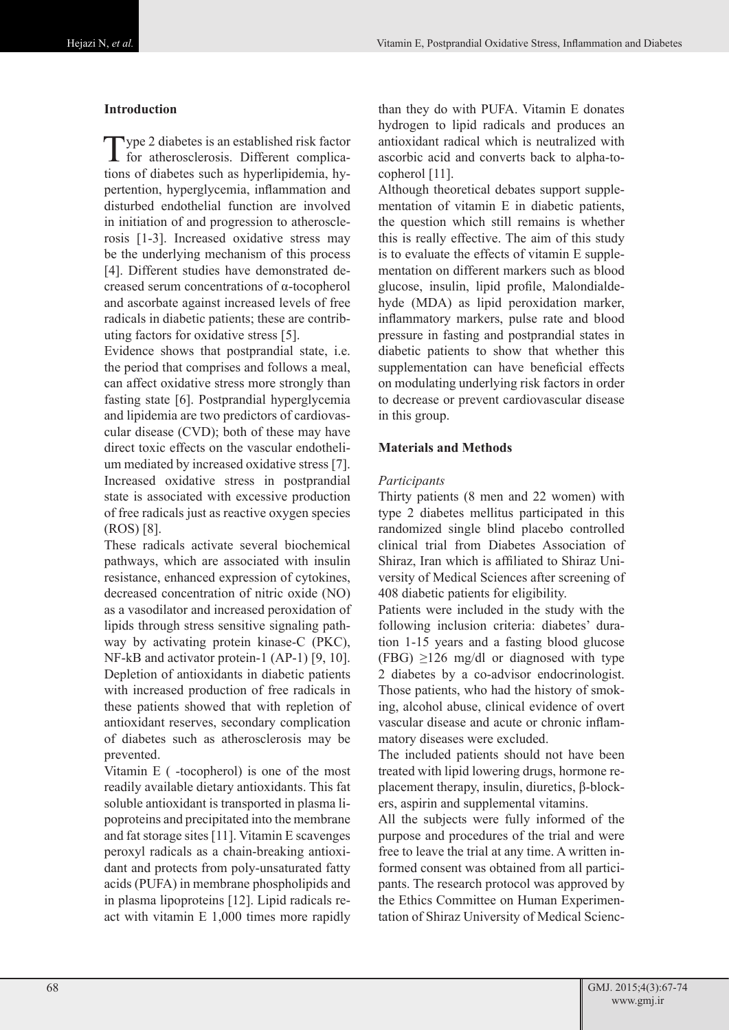# **Introduction**

Type 2 diabetes is an established risk factor<br>for atherosclerosis. Different complications of diabetes such as hyperlipidemia, hypertention, hyperglycemia, inflammation and disturbed endothelial function are involved in initiation of and progression to atherosclerosis [1-3]. Increased oxidative stress may be the underlying mechanism of this process [4]. Different studies have demonstrated decreased serum concentrations of α-tocopherol and ascorbate against increased levels of free radicals in diabetic patients; these are contributing factors for oxidative stress [5].

Evidence shows that postprandial state, i.e. the period that comprises and follows a meal, can affect oxidative stress more strongly than fasting state [6]. Postprandial hyperglycemia and lipidemia are two predictors of cardiovascular disease (CVD); both of these may have direct toxic effects on the vascular endothelium mediated by increased oxidative stress [7]. Increased oxidative stress in postprandial state is associated with excessive production of free radicals just as reactive oxygen species (ROS) [8].

These radicals activate several biochemical pathways, which are associated with insulin resistance, enhanced expression of cytokines, decreased concentration of nitric oxide (NO) as a vasodilator and increased peroxidation of lipids through stress sensitive signaling pathway by activating protein kinase-C (PKC), NF-kB and activator protein-1 (AP-1) [9, 10]. Depletion of antioxidants in diabetic patients with increased production of free radicals in these patients showed that with repletion of antioxidant reserves, secondary complication of diabetes such as atherosclerosis may be prevented.

Vitamin E ( -tocopherol) is one of the most readily available dietary antioxidants. This fat soluble antioxidant is transported in plasma lipoproteins and precipitated into the membrane and fat storage sites [11]. Vitamin E scavenges peroxyl radicals as a chain-breaking antioxidant and protects from poly-unsaturated fatty acids (PUFA) in membrane phospholipids and in plasma lipoproteins [12]. Lipid radicals react with vitamin E 1,000 times more rapidly

than they do with PUFA. Vitamin E donates hydrogen to lipid radicals and produces an antioxidant radical which is neutralized with ascorbic acid and converts back to alpha-tocopherol [11].

Although theoretical debates support supplementation of vitamin E in diabetic patients, the question which still remains is whether this is really effective. The aim of this study is to evaluate the effects of vitamin E supplementation on different markers such as blood glucose, insulin, lipid profile, Malondialdehyde (MDA) as lipid peroxidation marker, inflammatory markers, pulse rate and blood pressure in fasting and postprandial states in diabetic patients to show that whether this supplementation can have beneficial effects on modulating underlying risk factors in order to decrease or prevent cardiovascular disease in this group.

## **Materials and Methods**

### *Participants*

Thirty patients (8 men and 22 women) with type 2 diabetes mellitus participated in this randomized single blind placebo controlled clinical trial from Diabetes Association of Shiraz, Iran which is affiliated to Shiraz University of Medical Sciences after screening of 408 diabetic patients for eligibility.

Patients were included in the study with the following inclusion criteria: diabetes' duration 1-15 years and a fasting blood glucose (FBG)  $\geq$ 126 mg/dl or diagnosed with type 2 diabetes by a co-advisor endocrinologist. Those patients, who had the history of smoking, alcohol abuse, clinical evidence of overt vascular disease and acute or chronic inflammatory diseases were excluded.

The included patients should not have been treated with lipid lowering drugs, hormone replacement therapy, insulin, diuretics, β-blockers, aspirin and supplemental vitamins.

All the subjects were fully informed of the purpose and procedures of the trial and were free to leave the trial at any time. A written informed consent was obtained from all participants. The research protocol was approved by the Ethics Committee on Human Experimentation of Shiraz University of Medical Scienc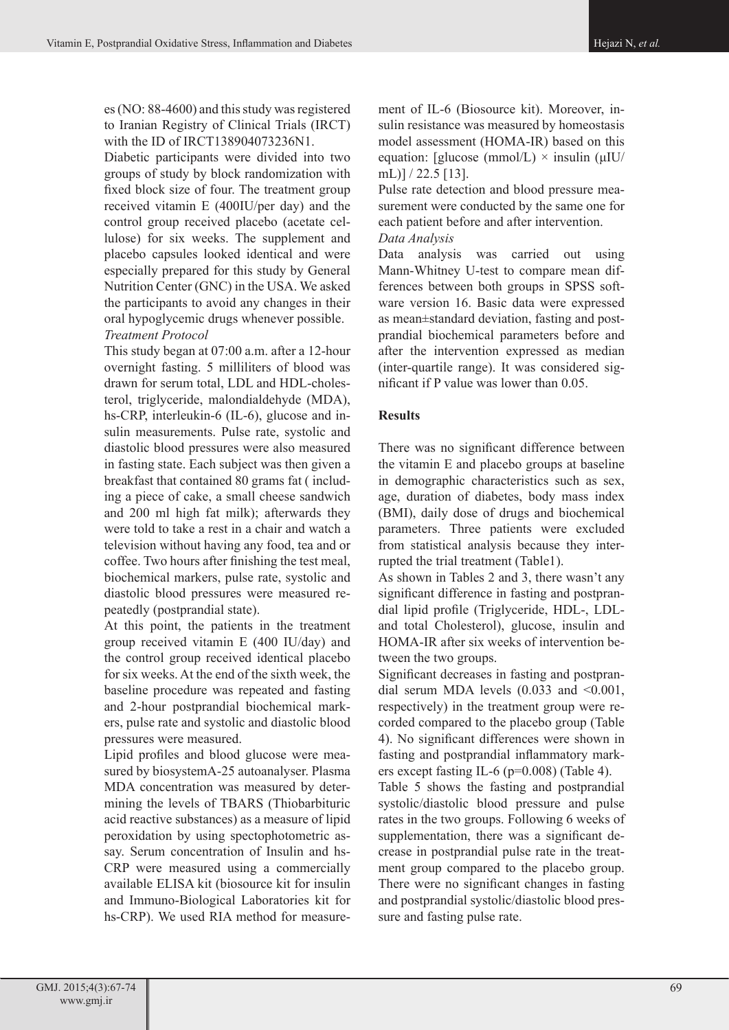es (NO: 88-4600) and this study was registered to Iranian Registry of Clinical Trials (IRCT) with the ID of IRCT138904073236N1.

Diabetic participants were divided into two groups of study by block randomization with fixed block size of four. The treatment group received vitamin E (400IU/per day) and the control group received placebo (acetate cellulose) for six weeks. The supplement and placebo capsules looked identical and were especially prepared for this study by General Nutrition Center (GNC) in the USA. We asked the participants to avoid any changes in their oral hypoglycemic drugs whenever possible. *Treatment Protocol*

This study began at 07:00 a.m. after a 12-hour overnight fasting. 5 milliliters of blood was drawn for serum total, LDL and HDL-cholesterol, triglyceride, malondialdehyde (MDA), hs-CRP, interleukin-6 (IL-6), glucose and insulin measurements. Pulse rate, systolic and diastolic blood pressures were also measured in fasting state. Each subject was then given a breakfast that contained 80 grams fat ( including a piece of cake, a small cheese sandwich and 200 ml high fat milk); afterwards they were told to take a rest in a chair and watch a television without having any food, tea and or coffee. Two hours after finishing the test meal, biochemical markers, pulse rate, systolic and diastolic blood pressures were measured repeatedly (postprandial state).

At this point, the patients in the treatment group received vitamin E (400 IU/day) and the control group received identical placebo for six weeks. At the end of the sixth week, the baseline procedure was repeated and fasting and 2-hour postprandial biochemical markers, pulse rate and systolic and diastolic blood pressures were measured.

Lipid profiles and blood glucose were measured by biosystemA-25 autoanalyser. Plasma MDA concentration was measured by determining the levels of TBARS (Thiobarbituric acid reactive substances) as a measure of lipid peroxidation by using spectophotometric assay. Serum concentration of Insulin and hs-CRP were measured using a commercially available ELISA kit (biosource kit for insulin and Immuno-Biological Laboratories kit for hs-CRP). We used RIA method for measure-

ment of IL-6 (Biosource kit). Moreover, insulin resistance was measured by homeostasis model assessment (HOMA-IR) based on this equation: [glucose (mmol/L)  $\times$  insulin ( $\mu$ IU/ mL)] / 22.5 [13].

Pulse rate detection and blood pressure measurement were conducted by the same one for each patient before and after intervention. *Data Analysis*

Data analysis was carried out using Mann-Whitney U-test to compare mean differences between both groups in SPSS software version 16. Basic data were expressed as mean±standard deviation, fasting and postprandial biochemical parameters before and after the intervention expressed as median (inter-quartile range). It was considered significant if P value was lower than 0.05.

## **Results**

There was no significant difference between the vitamin E and placebo groups at baseline in demographic characteristics such as sex, age, duration of diabetes, body mass index (BMI), daily dose of drugs and biochemical parameters. Three patients were excluded from statistical analysis because they interrupted the trial treatment (Table1).

As shown in Tables 2 and 3, there wasn't any significant difference in fasting and postprandial lipid profile (Triglyceride, HDL-, LDLand total Cholesterol), glucose, insulin and HOMA-IR after six weeks of intervention between the two groups.

Significant decreases in fasting and postprandial serum MDA levels  $(0.033 \text{ and } 50.001)$ . respectively) in the treatment group were recorded compared to the placebo group (Table 4). No significant differences were shown in fasting and postprandial inflammatory markers except fasting IL-6 (p=0.008) (Table 4).

Table 5 shows the fasting and postprandial systolic/diastolic blood pressure and pulse rates in the two groups. Following 6 weeks of supplementation, there was a significant decrease in postprandial pulse rate in the treatment group compared to the placebo group. There were no significant changes in fasting and postprandial systolic/diastolic blood pressure and fasting pulse rate.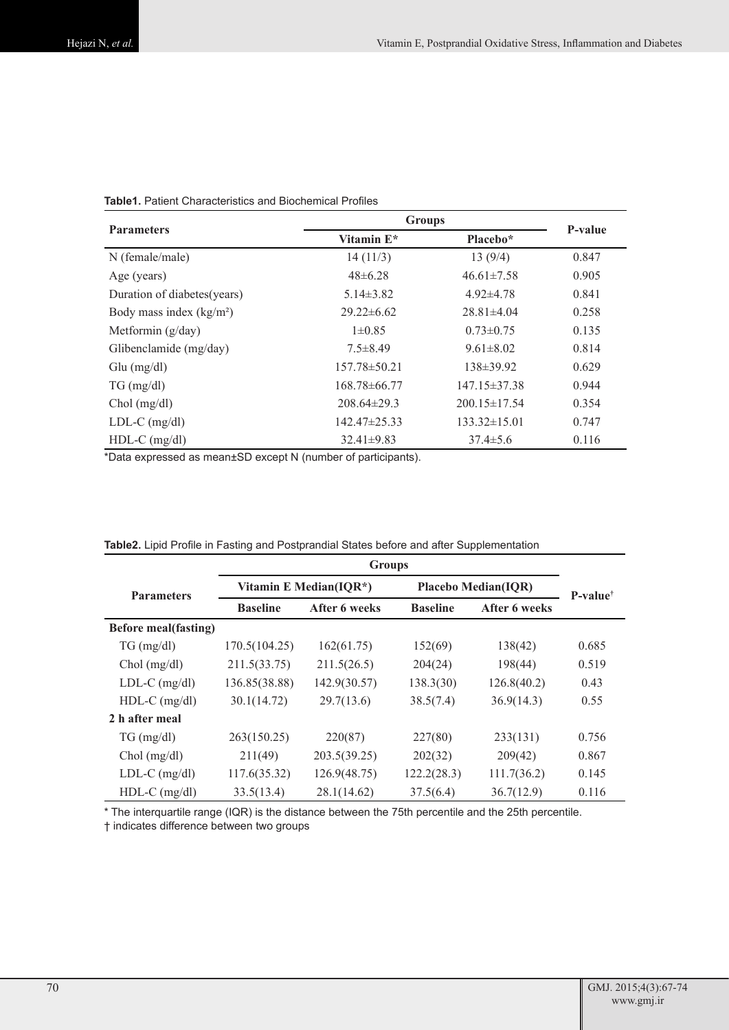| <b>Parameters</b>            | <b>Groups</b>      | P-value            |       |  |
|------------------------------|--------------------|--------------------|-------|--|
|                              | Vitamin $E^*$      | Placebo*           |       |  |
| N (female/male)              | 14(11/3)           | 13(9/4)            | 0.847 |  |
| Age (years)                  | $48 \pm 6.28$      | $46.61 \pm 7.58$   | 0.905 |  |
| Duration of diabetes (years) | $5.14\pm3.82$      | $4.92\pm4.78$      | 0.841 |  |
| Body mass index $(kg/m2)$    | $29.22 \pm 6.62$   | $28.81\pm4.04$     | 0.258 |  |
| Metformin $(g/day)$          | $1\pm 0.85$        | $0.73 \pm 0.75$    | 0.135 |  |
| Glibenclamide (mg/day)       | $7.5 \pm 8.49$     | $9.61 \pm 8.02$    | 0.814 |  |
| $Glu$ (mg/dl)                | $157.78 \pm 50.21$ | $138 \pm 39.92$    | 0.629 |  |
| $TG \, (mg/dl)$              | $168.78\pm 66.77$  | $147.15 \pm 37.38$ | 0.944 |  |
| $Chol$ (mg/dl)               | $208.64\pm29.3$    | $200.15 \pm 17.54$ | 0.354 |  |
| $LDL-C$ (mg/dl)              | $142.47\pm 25.33$  | $133.32\pm15.01$   | 0.747 |  |
| $HDL-C$ (mg/dl)              | $32.41 \pm 9.83$   | $37.4 \pm 5.6$     | 0.116 |  |

#### **Table1.** Patient Characteristics and Biochemical Profiles

\*Data expressed as mean±SD except N (number of participants).

|                             | <b>Groups</b>          |               |                            |               |                     |
|-----------------------------|------------------------|---------------|----------------------------|---------------|---------------------|
| <b>Parameters</b>           | Vitamin E Median(IQR*) |               | <b>Placebo Median(IQR)</b> |               | $P-value^{\dagger}$ |
|                             | <b>Baseline</b>        | After 6 weeks | <b>Baseline</b>            | After 6 weeks |                     |
| <b>Before meal(fasting)</b> |                        |               |                            |               |                     |
| $TG \, (mg/dl)$             | 170.5(104.25)          | 162(61.75)    | 152(69)                    | 138(42)       | 0.685               |
| $Chol$ (mg/dl)              | 211.5(33.75)           | 211.5(26.5)   | 204(24)                    | 198(44)       | 0.519               |
| $LDL-C$ (mg/dl)             | 136.85(38.88)          | 142.9(30.57)  | 138.3(30)                  | 126.8(40.2)   | 0.43                |
| $HDL-C$ (mg/dl)             | 30.1(14.72)            | 29.7(13.6)    | 38.5(7.4)                  | 36.9(14.3)    | 0.55                |
| 2 h after meal              |                        |               |                            |               |                     |
| $TG \, (mg/dl)$             | 263(150.25)            | 220(87)       | 227(80)                    | 233(131)      | 0.756               |
| $Chol$ (mg/dl)              | 211(49)                | 203.5(39.25)  | 202(32)                    | 209(42)       | 0.867               |
| $LDL-C$ (mg/dl)             | 117.6(35.32)           | 126.9(48.75)  | 122.2(28.3)                | 111.7(36.2)   | 0.145               |
| HDL-C (mg/dl)               | 33.5(13.4)             | 28.1(14.62)   | 37.5(6.4)                  | 36.7(12.9)    | 0.116               |

#### **Table2.** Lipid Profile in Fasting and Postprandial States before and after Supplementation

\* The interquartile range (IQR) is the distance between the 75th percentile and the 25th percentile.

† indicates difference between two groups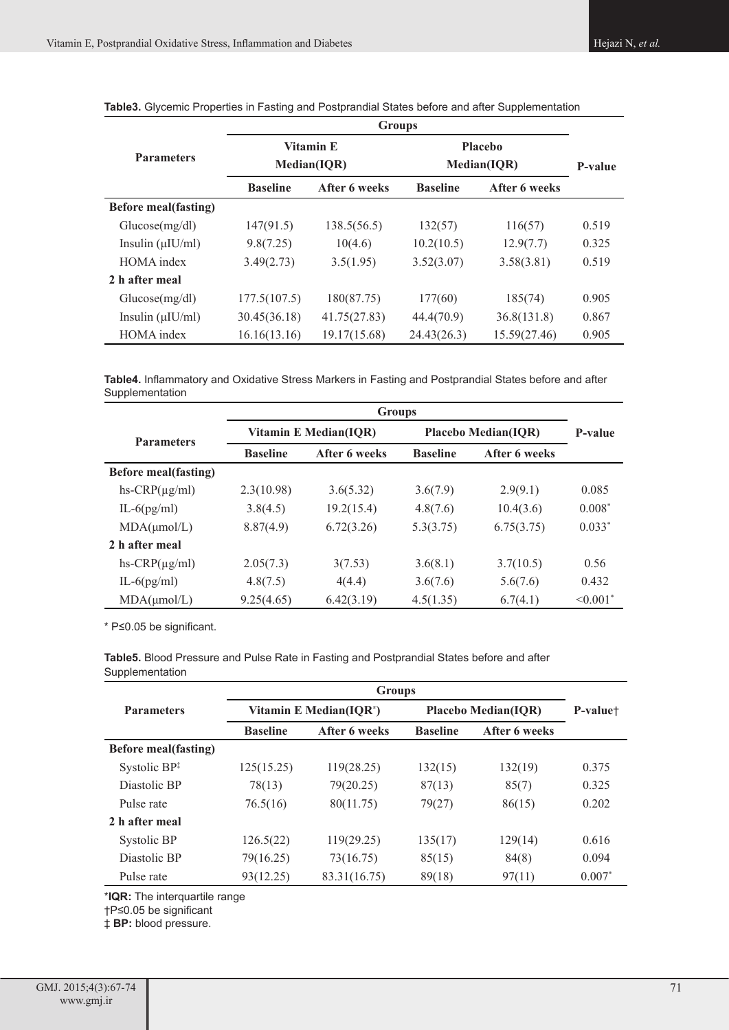|                              | <b>Groups</b>                   |               |                               |               |         |
|------------------------------|---------------------------------|---------------|-------------------------------|---------------|---------|
| <b>Parameters</b>            | <b>Vitamin E</b><br>Median(IQR) |               | <b>Placebo</b><br>Median(IQR) |               | P-value |
|                              | <b>Baseline</b>                 | After 6 weeks | <b>Baseline</b>               | After 6 weeks |         |
| <b>Before meal (fasting)</b> |                                 |               |                               |               |         |
| Glucose(mg/dl)               | 147(91.5)                       | 138.5(56.5)   | 132(57)                       | 116(57)       | 0.519   |
| Insulin $(\mu U/ml)$         | 9.8(7.25)                       | 10(4.6)       | 10.2(10.5)                    | 12.9(7.7)     | 0.325   |
| HOMA index                   | 3.49(2.73)                      | 3.5(1.95)     | 3.52(3.07)                    | 3.58(3.81)    | 0.519   |
| 2 h after meal               |                                 |               |                               |               |         |
| Glucose(mg/dl)               | 177.5(107.5)                    | 180(87.75)    | 177(60)                       | 185(74)       | 0.905   |
| Insulin $(\mu U/ml)$         | 30.45(36.18)                    | 41.75(27.83)  | 44.4(70.9)                    | 36.8(131.8)   | 0.867   |
| <b>HOMA</b> index            | 16.16(13.16)                    | 19.17(15.68)  | 24.43(26.3)                   | 15.59(27.46)  | 0.905   |

**Table3.** Glycemic Properties in Fasting and Postprandial States before and after Supplementation

**Table4.** Inflammatory and Oxidative Stress Markers in Fasting and Postprandial States before and after Supplementation

|                             | <b>Groups</b>         |               |                            |               |                           |
|-----------------------------|-----------------------|---------------|----------------------------|---------------|---------------------------|
| <b>Parameters</b>           | Vitamin E Median(IOR) |               | <b>Placebo Median(IOR)</b> |               | P-value                   |
|                             | <b>Baseline</b>       | After 6 weeks | <b>Baseline</b>            | After 6 weeks |                           |
| <b>Before meal(fasting)</b> |                       |               |                            |               |                           |
| $hs-CRP(\mu g/ml)$          | 2.3(10.98)            | 3.6(5.32)     | 3.6(7.9)                   | 2.9(9.1)      | 0.085                     |
| IL-6 $(pg/ml)$              | 3.8(4.5)              | 19.2(15.4)    | 4.8(7.6)                   | 10.4(3.6)     | $0.008*$                  |
| MDA(µmol/L)                 | 8.87(4.9)             | 6.72(3.26)    | 5.3(3.75)                  | 6.75(3.75)    | $0.033*$                  |
| 2 h after meal              |                       |               |                            |               |                           |
| $hs-CRP(\mu g/ml)$          | 2.05(7.3)             | 3(7.53)       | 3.6(8.1)                   | 3.7(10.5)     | 0.56                      |
| IL-6 $(pg/ml)$              | 4.8(7.5)              | 4(4.4)        | 3.6(7.6)                   | 5.6(7.6)      | 0.432                     |
| MDA(µmol/L)                 | 9.25(4.65)            | 6.42(3.19)    | 4.5(1.35)                  | 6.7(4.1)      | $\leq 0.001$ <sup>*</sup> |

\* P≤0.05 be significant.

**Table5.** Blood Pressure and Pulse Rate in Fasting and Postprandial States before and after Supplementation

|                             | <b>Groups</b>          |               |                            |               |          |
|-----------------------------|------------------------|---------------|----------------------------|---------------|----------|
| <b>Parameters</b>           | Vitamin E Median(IQR*) |               | <b>Placebo Median(IQR)</b> |               | P-valuet |
|                             | <b>Baseline</b>        | After 6 weeks | <b>Baseline</b>            | After 6 weeks |          |
| <b>Before meal(fasting)</b> |                        |               |                            |               |          |
| Systolic $BP^{\ddagger}$    | 125(15.25)             | 119(28.25)    | 132(15)                    | 132(19)       | 0.375    |
| Diastolic BP                | 78(13)                 | 79(20.25)     | 87(13)                     | 85(7)         | 0.325    |
| Pulse rate                  | 76.5(16)               | 80(11.75)     | 79(27)                     | 86(15)        | 0.202    |
| 2 h after meal              |                        |               |                            |               |          |
| Systolic BP                 | 126.5(22)              | 119(29.25)    | 135(17)                    | 129(14)       | 0.616    |
| Diastolic BP                | 79(16.25)              | 73(16.75)     | 85(15)                     | 84(8)         | 0.094    |
| Pulse rate                  | 93(12.25)              | 83.31(16.75)  | 89(18)                     | 97(11)        | $0.007*$ |

\***IQR:** The interquartile range

†P≤0.05 be significant

‡ **BP:** blood pressure.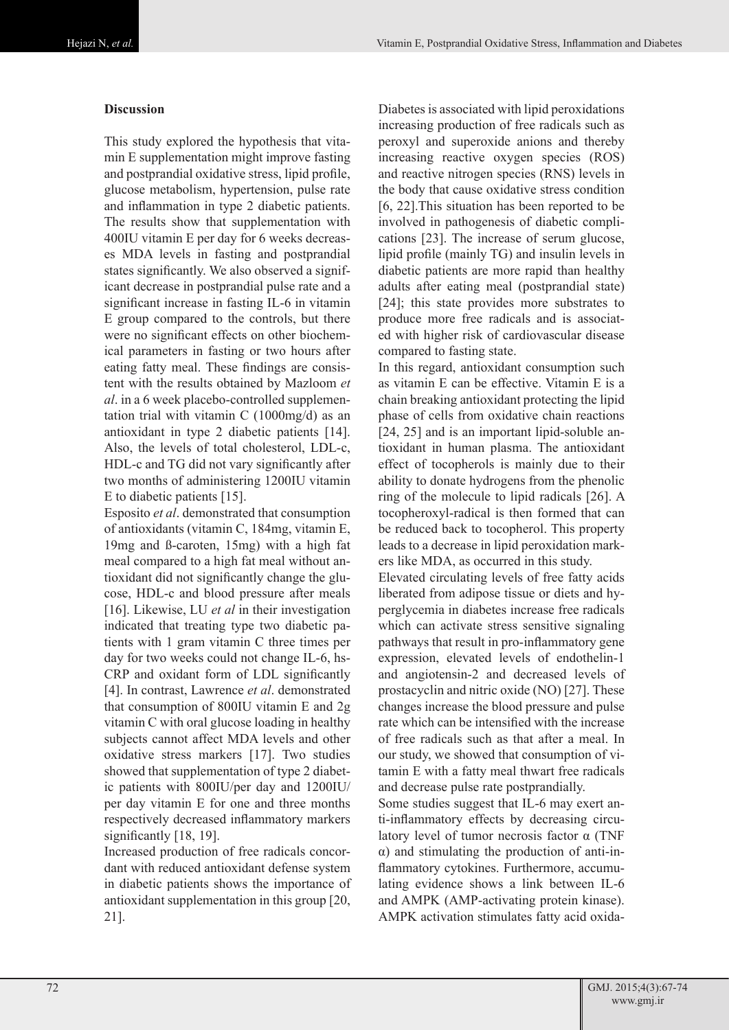# **Discussion**

This study explored the hypothesis that vitamin E supplementation might improve fasting and postprandial oxidative stress, lipid profile, glucose metabolism, hypertension, pulse rate and inflammation in type 2 diabetic patients. The results show that supplementation with 400IU vitamin E per day for 6 weeks decreases MDA levels in fasting and postprandial states significantly. We also observed a significant decrease in postprandial pulse rate and a significant increase in fasting IL-6 in vitamin E group compared to the controls, but there were no significant effects on other biochemical parameters in fasting or two hours after eating fatty meal. These findings are consistent with the results obtained by Mazloom *et al*. in a 6 week placebo-controlled supplementation trial with vitamin C (1000mg/d) as an antioxidant in type 2 diabetic patients [14]. Also, the levels of total cholesterol, LDL-c, HDL-c and TG did not vary significantly after two months of administering 1200IU vitamin E to diabetic patients [15].

Esposito *et al*. demonstrated that consumption of antioxidants (vitamin C, 184mg, vitamin E, 19mg and ß-caroten, 15mg) with a high fat meal compared to a high fat meal without antioxidant did not significantly change the glucose, HDL-c and blood pressure after meals [16]. Likewise, LU *et al* in their investigation indicated that treating type two diabetic patients with 1 gram vitamin C three times per day for two weeks could not change IL-6, hs-CRP and oxidant form of LDL significantly [4]. In contrast, Lawrence *et al*. demonstrated that consumption of 800IU vitamin E and 2g vitamin C with oral glucose loading in healthy subjects cannot affect MDA levels and other oxidative stress markers [17]. Two studies showed that supplementation of type 2 diabetic patients with 800IU/per day and 1200IU/ per day vitamin E for one and three months respectively decreased inflammatory markers significantly [18, 19].

Increased production of free radicals concordant with reduced antioxidant defense system in diabetic patients shows the importance of antioxidant supplementation in this group [20, 21].

Diabetes is associated with lipid peroxidations increasing production of free radicals such as peroxyl and superoxide anions and thereby increasing reactive oxygen species (ROS) and reactive nitrogen species (RNS) levels in the body that cause oxidative stress condition [6, 22].This situation has been reported to be involved in pathogenesis of diabetic complications [23]. The increase of serum glucose, lipid profile (mainly TG) and insulin levels in diabetic patients are more rapid than healthy adults after eating meal (postprandial state) [24]; this state provides more substrates to produce more free radicals and is associated with higher risk of cardiovascular disease compared to fasting state.

In this regard, antioxidant consumption such as vitamin E can be effective. Vitamin E is a chain breaking antioxidant protecting the lipid phase of cells from oxidative chain reactions [24, 25] and is an important lipid-soluble antioxidant in human plasma. The antioxidant effect of tocopherols is mainly due to their ability to donate hydrogens from the phenolic ring of the molecule to lipid radicals [26]. A tocopheroxyl-radical is then formed that can be reduced back to tocopherol. This property leads to a decrease in lipid peroxidation markers like MDA, as occurred in this study.

Elevated circulating levels of free fatty acids liberated from adipose tissue or diets and hyperglycemia in diabetes increase free radicals which can activate stress sensitive signaling pathways that result in pro-inflammatory gene expression, elevated levels of endothelin-1 and angiotensin-2 and decreased levels of prostacyclin and nitric oxide (NO) [27]. These changes increase the blood pressure and pulse rate which can be intensified with the increase of free radicals such as that after a meal. In our study, we showed that consumption of vitamin E with a fatty meal thwart free radicals and decrease pulse rate postprandially.

Some studies suggest that IL-6 may exert anti-inflammatory effects by decreasing circulatory level of tumor necrosis factor α (TNF α) and stimulating the production of anti-inflammatory cytokines. Furthermore, accumulating evidence shows a link between IL-6 and AMPK (AMP-activating protein kinase). AMPK activation stimulates fatty acid oxida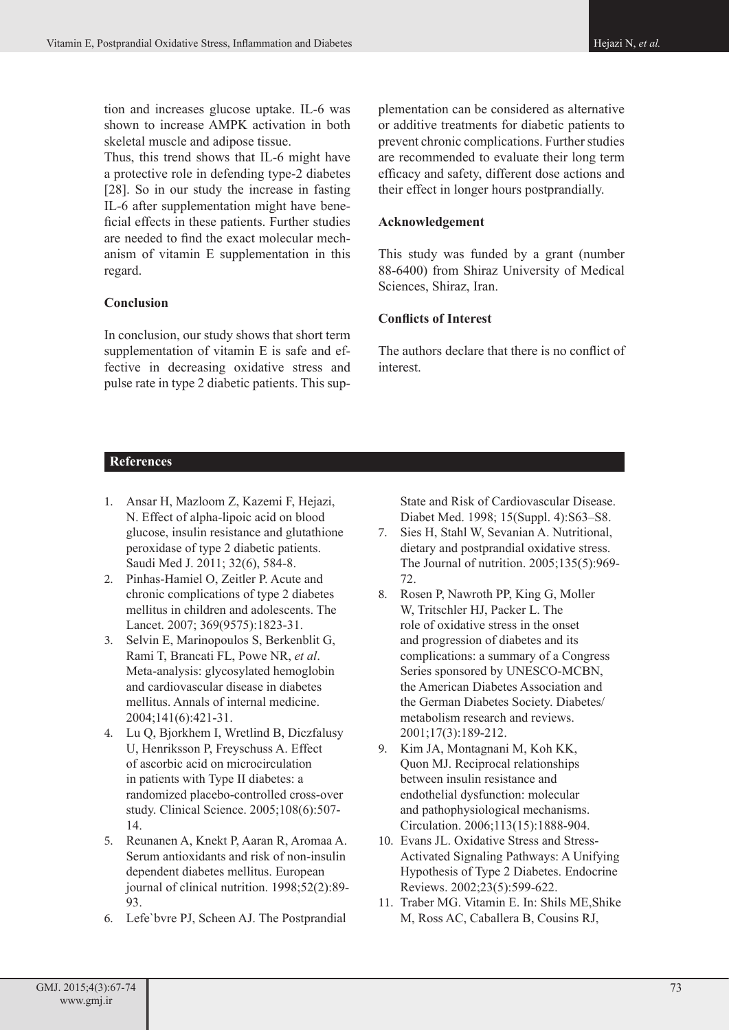tion and increases glucose uptake. IL-6 was shown to increase AMPK activation in both skeletal muscle and adipose tissue.

Thus, this trend shows that IL-6 might have a protective role in defending type-2 diabetes [28]. So in our study the increase in fasting IL-6 after supplementation might have beneficial effects in these patients. Further studies are needed to find the exact molecular mechanism of vitamin E supplementation in this regard.

# **Conclusion**

In conclusion, our study shows that short term supplementation of vitamin E is safe and effective in decreasing oxidative stress and pulse rate in type 2 diabetic patients. This sup-

plementation can be considered as alternative or additive treatments for diabetic patients to prevent chronic complications. Further studies are recommended to evaluate their long term efficacy and safety, different dose actions and their effect in longer hours postprandially.

## **Acknowledgement**

This study was funded by a grant (number 88-6400) from Shiraz University of Medical Sciences, Shiraz, Iran.

# **Conflicts of Interest**

The authors declare that there is no conflict of interest.

# **References**

- 1. Ansar H, Mazloom Z, Kazemi F, Hejazi, N. Effect of alpha-lipoic acid on blood glucose, insulin resistance and glutathione peroxidase of type 2 diabetic patients. Saudi Med J. 2011; 32(6), 584-8.
- 2. Pinhas-Hamiel O, Zeitler P. Acute and chronic complications of type 2 diabetes mellitus in children and adolescents. The Lancet. 2007; 369(9575):1823-31.
- 3. Selvin E, Marinopoulos S, Berkenblit G, Rami T, Brancati FL, Powe NR, *et al*. Meta-analysis: glycosylated hemoglobin and cardiovascular disease in diabetes mellitus. Annals of internal medicine. 2004;141(6):421-31.
- 4. Lu Q, Bjorkhem I, Wretlind B, Diczfalusy U, Henriksson P, Freyschuss A. Effect of ascorbic acid on microcirculation in patients with Type II diabetes: a randomized placebo-controlled cross-over study. Clinical Science. 2005;108(6):507- 14.
- 5. Reunanen A, Knekt P, Aaran R, Aromaa A. Serum antioxidants and risk of non-insulin dependent diabetes mellitus. European journal of clinical nutrition. 1998;52(2):89- 93.
- 6. Lefe`bvre PJ, Scheen AJ. The Postprandial

State and Risk of Cardiovascular Disease. Diabet Med. 1998; 15(Suppl. 4):S63–S8.

- 7. Sies H, Stahl W, Sevanian A. Nutritional, dietary and postprandial oxidative stress. The Journal of nutrition. 2005;135(5):969- 72.
- 8. Rosen P, Nawroth PP, King G, Moller W, Tritschler HJ, Packer L. The role of oxidative stress in the onset and progression of diabetes and its complications: a summary of a Congress Series sponsored by UNESCO-MCBN, the American Diabetes Association and the German Diabetes Society. Diabetes/ metabolism research and reviews. 2001;17(3):189-212.
- 9. Kim JA, Montagnani M, Koh KK, Quon MJ. Reciprocal relationships between insulin resistance and endothelial dysfunction: molecular and pathophysiological mechanisms. Circulation. 2006;113(15):1888-904.
- 10. Evans JL. Oxidative Stress and Stress-Activated Signaling Pathways: A Unifying Hypothesis of Type 2 Diabetes. Endocrine Reviews. 2002;23(5):599-622.
- 11. Traber MG. Vitamin E. In: Shils ME,Shike M, Ross AC, Caballera B, Cousins RJ,